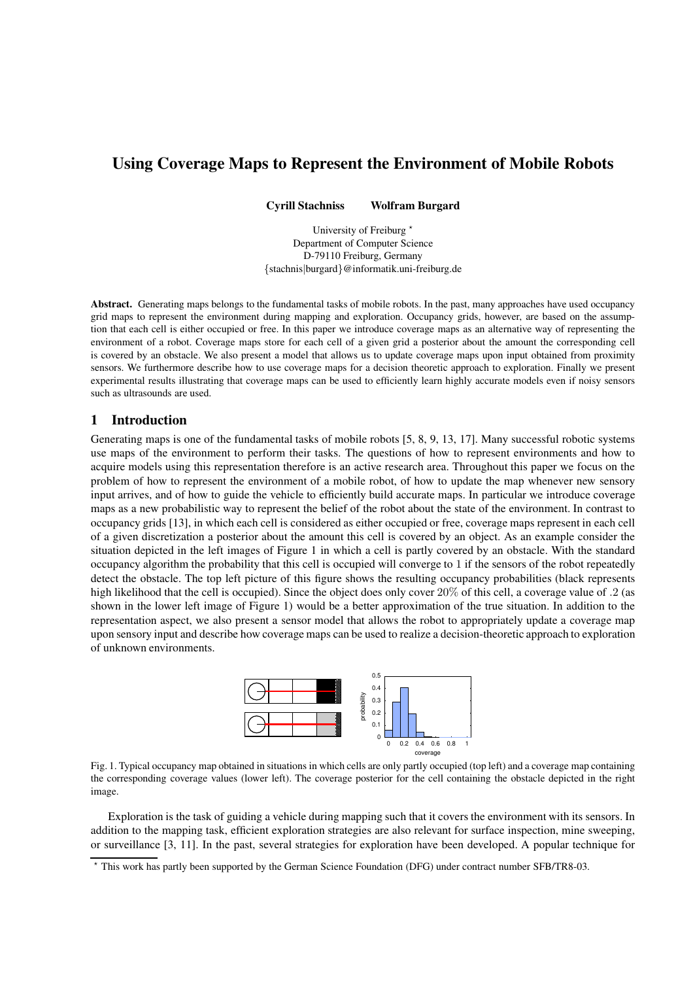# **Using Coverage Maps to Represent the Environment of Mobile Robots**

**Cyrill Stachniss Wolfram Burgard**

University of Freiburg<sup>\*</sup> Department of Computer Science D-79110 Freiburg, Germany {stachnis|burgard}@informatik.uni-freiburg.de

**Abstract.** Generating maps belongs to the fundamental tasks of mobile robots. In the past, many approaches have used occupancy grid maps to represent the environment during mapping and exploration. Occupancy grids, however, are based on the assumption that each cell is either occupied or free. In this paper we introduce coverage maps as an alternative way of representing the environment of a robot. Coverage maps store for each cell of a given grid a posterior about the amount the corresponding cell is covered by an obstacle. We also present a model that allows us to update coverage maps upon input obtained from proximity sensors. We furthermore describe how to use coverage maps for a decision theoretic approach to exploration. Finally we present experimental results illustrating that coverage maps can be used to efficiently learn highly accurate models even if noisy sensors such as ultrasounds are used.

# **1 Introduction**

Generating maps is one of the fundamental tasks of mobile robots [5, 8, 9, 13, 17]. Many successful robotic systems use maps of the environment to perform their tasks. The questions of how to represent environments and how to acquire models using this representation therefore is an active research area. Throughout this paper we focus on the problem of how to represent the environment of a mobile robot, of how to update the map whenever new sensory input arrives, and of how to guide the vehicle to efficiently build accurate maps. In particular we introduce coverage maps as a new probabilistic way to represent the belief of the robot about the state of the environment. In contrast to occupancy grids [13], in which each cell is considered as either occupied or free, coverage maps represent in each cell of a given discretization a posterior about the amount this cell is covered by an object. As an example consider the situation depicted in the left images of Figure 1 in which a cell is partly covered by an obstacle. With the standard occupancy algorithm the probability that this cell is occupied will converge to 1 if the sensors of the robot repeatedly detect the obstacle. The top left picture of this figure shows the resulting occupancy probabilities (black represents high likelihood that the cell is occupied). Since the object does only cover 20% of this cell, a coverage value of .2 (as shown in the lower left image of Figure 1) would be a better approximation of the true situation. In addition to the representation aspect, we also present a sensor model that allows the robot to appropriately update a coverage map upon sensory input and describe how coverage maps can be used to realize a decision-theoretic approach to exploration of unknown environments.



Fig. 1. Typical occupancy map obtained in situations in which cells are only partly occupied (top left) and a coverage map containing the corresponding coverage values (lower left). The coverage posterior for the cell containing the obstacle depicted in the right image.

Exploration is the task of guiding a vehicle during mapping such that it covers the environment with its sensors. In addition to the mapping task, efficient exploration strategies are also relevant for surface inspection, mine sweeping, or surveillance [3, 11]. In the past, several strategies for exploration have been developed. A popular technique for

<sup>?</sup> This work has partly been supported by the German Science Foundation (DFG) under contract number SFB/TR8-03.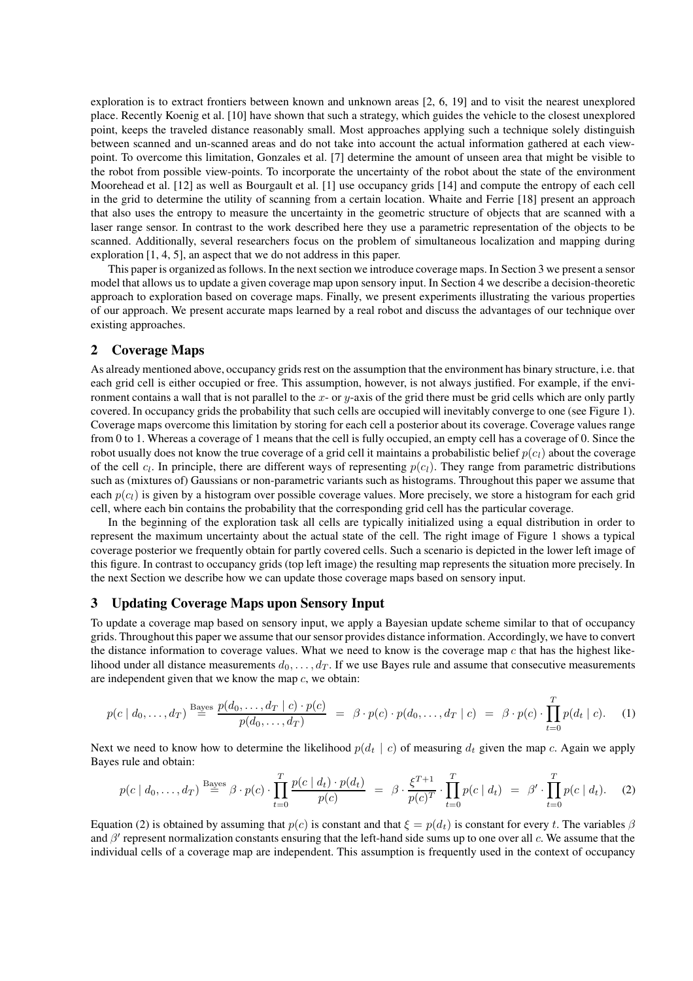exploration is to extract frontiers between known and unknown areas [2, 6, 19] and to visit the nearest unexplored place. Recently Koenig et al. [10] have shown that such a strategy, which guides the vehicle to the closest unexplored point, keeps the traveled distance reasonably small. Most approaches applying such a technique solely distinguish between scanned and un-scanned areas and do not take into account the actual information gathered at each viewpoint. To overcome this limitation, Gonzales et al. [7] determine the amount of unseen area that might be visible to the robot from possible view-points. To incorporate the uncertainty of the robot about the state of the environment Moorehead et al. [12] as well as Bourgault et al. [1] use occupancy grids [14] and compute the entropy of each cell in the grid to determine the utility of scanning from a certain location. Whaite and Ferrie [18] present an approach that also uses the entropy to measure the uncertainty in the geometric structure of objects that are scanned with a laser range sensor. In contrast to the work described here they use a parametric representation of the objects to be scanned. Additionally, several researchers focus on the problem of simultaneous localization and mapping during exploration [1, 4, 5], an aspect that we do not address in this paper.

This paper is organized as follows. In the next section we introduce coverage maps. In Section 3 we present a sensor model that allows us to update a given coverage map upon sensory input. In Section 4 we describe a decision-theoretic approach to exploration based on coverage maps. Finally, we present experiments illustrating the various properties of our approach. We present accurate maps learned by a real robot and discuss the advantages of our technique over existing approaches.

# **2 Coverage Maps**

As already mentioned above, occupancy grids rest on the assumption that the environment has binary structure, i.e. that each grid cell is either occupied or free. This assumption, however, is not always justified. For example, if the environment contains a wall that is not parallel to the  $x$ - or  $y$ -axis of the grid there must be grid cells which are only partly covered. In occupancy grids the probability that such cells are occupied will inevitably converge to one (see Figure 1). Coverage maps overcome this limitation by storing for each cell a posterior about its coverage. Coverage values range from 0 to 1. Whereas a coverage of 1 means that the cell is fully occupied, an empty cell has a coverage of 0. Since the robot usually does not know the true coverage of a grid cell it maintains a probabilistic belief  $p(c_l)$  about the coverage of the cell  $c_l$ . In principle, there are different ways of representing  $p(c_l)$ . They range from parametric distributions such as (mixtures of) Gaussians or non-parametric variants such as histograms. Throughout this paper we assume that each  $p(c_l)$  is given by a histogram over possible coverage values. More precisely, we store a histogram for each grid cell, where each bin contains the probability that the corresponding grid cell has the particular coverage.

In the beginning of the exploration task all cells are typically initialized using a equal distribution in order to represent the maximum uncertainty about the actual state of the cell. The right image of Figure 1 shows a typical coverage posterior we frequently obtain for partly covered cells. Such a scenario is depicted in the lower left image of this figure. In contrast to occupancy grids (top left image) the resulting map represents the situation more precisely. In the next Section we describe how we can update those coverage maps based on sensory input.

### **3 Updating Coverage Maps upon Sensory Input**

To update a coverage map based on sensory input, we apply a Bayesian update scheme similar to that of occupancy grids. Throughout this paper we assume that our sensor provides distance information. Accordingly, we have to convert the distance information to coverage values. What we need to know is the coverage map  $c$  that has the highest likelihood under all distance measurements  $d_0, \ldots, d_T$ . If we use Bayes rule and assume that consecutive measurements are independent given that we know the map  $c$ , we obtain:

$$
p(c \mid d_0, \ldots, d_T) \stackrel{\text{Bayes}}{=} \frac{p(d_0, \ldots, d_T \mid c) \cdot p(c)}{p(d_0, \ldots, d_T)} = \beta \cdot p(c) \cdot p(d_0, \ldots, d_T \mid c) = \beta \cdot p(c) \cdot \prod_{t=0}^T p(d_t \mid c). \tag{1}
$$

Next we need to know how to determine the likelihood  $p(d_t | c)$  of measuring  $d_t$  given the map c. Again we apply Bayes rule and obtain:

$$
p(c | d_0, ..., d_T) \stackrel{\text{Bayes}}{=} \beta \cdot p(c) \cdot \prod_{t=0}^T \frac{p(c | d_t) \cdot p(d_t)}{p(c)} = \beta \cdot \frac{\xi^{T+1}}{p(c)^T} \cdot \prod_{t=0}^T p(c | d_t) = \beta' \cdot \prod_{t=0}^T p(c | d_t). \tag{2}
$$

Equation (2) is obtained by assuming that  $p(c)$  is constant and that  $\xi = p(d_t)$  is constant for every t. The variables  $\beta$ and  $\beta'$  represent normalization constants ensuring that the left-hand side sums up to one over all c. We assume that the individual cells of a coverage map are independent. This assumption is frequently used in the context of occupancy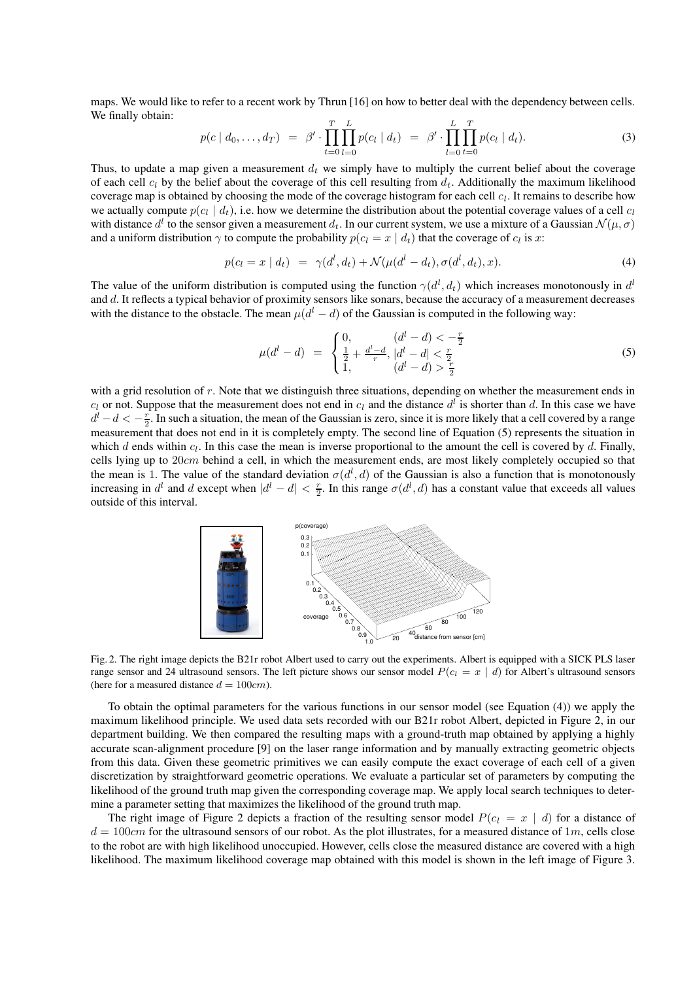maps. We would like to refer to a recent work by Thrun [16] on how to better deal with the dependency between cells. We finally obtain:

$$
p(c | d_0, ..., d_T) = \beta' \cdot \prod_{t=0}^T \prod_{l=0}^L p(c_l | d_t) = \beta' \cdot \prod_{l=0}^L \prod_{t=0}^T p(c_l | d_t).
$$
 (3)

Thus, to update a map given a measurement  $d_t$  we simply have to multiply the current belief about the coverage of each cell  $c_l$  by the belief about the coverage of this cell resulting from  $d_t$ . Additionally the maximum likelihood coverage map is obtained by choosing the mode of the coverage histogram for each cell  $c_l$ . It remains to describe how we actually compute  $p(c_l | d_t)$ , i.e. how we determine the distribution about the potential coverage values of a cell  $c_l$ with distance  $d^l$  to the sensor given a measurement  $d_t$ . In our current system, we use a mixture of a Gaussian  $\mathcal{N}(\mu, \sigma)$ and a uniform distribution  $\gamma$  to compute the probability  $p(c_l = x \mid d_t)$  that the coverage of  $c_l$  is x:

$$
p(c_l = x | d_t) = \gamma(d^l, d_t) + \mathcal{N}(\mu(d^l - d_t), \sigma(d^l, d_t), x). \tag{4}
$$

The value of the uniform distribution is computed using the function  $\gamma(d^l, d_t)$  which increases monotonously in  $d^l$ and d. It reflects a typical behavior of proximity sensors like sonars, because the accuracy of a measurement decreases with the distance to the obstacle. The mean  $\mu(d^l - d)$  of the Gaussian is computed in the following way:

$$
\mu(d^l - d) = \begin{cases} 0, & (d^l - d) < -\frac{r}{2} \\ \frac{1}{2} + \frac{d^l - d}{r}, & |d^l - d| < \frac{r}{2} \\ 1, & (d^l - d) > \frac{r}{2} \end{cases}
$$
\n(5)

with a grid resolution of r. Note that we distinguish three situations, depending on whether the measurement ends in  $c_l$  or not. Suppose that the measurement does not end in  $c_l$  and the distance  $d^l$  is shorter than d. In this case we have  $d^l - d < -\frac{r}{2}$ . In such a situation, the mean of the Gaussian is zero, since it is more likely that a cell covered by a range measurement that does not end in it is completely empty. The second line of Equation (5) represents the situation in which  $d$  ends within  $c_l$ . In this case the mean is inverse proportional to the amount the cell is covered by  $d$ . Finally, cells lying up to  $20cm$  behind a cell, in which the measurement ends, are most likely completely occupied so that the mean is 1. The value of the standard deviation  $\sigma(d^l, d)$  of the Gaussian is also a function that is monotonously increasing in  $d^l$  and  $d$  except when  $|d^l - d| < \frac{r}{2}$ . In this range  $\sigma(d^l, d)$  has a constant value that exceeds all values outside of this interval.



Fig. 2. The right image depicts the B21r robot Albert used to carry out the experiments. Albert is equipped with a SICK PLS laser range sensor and 24 ultrasound sensors. The left picture shows our sensor model  $P(c_l = x \mid d)$  for Albert's ultrasound sensors (here for a measured distance  $d = 100cm$ ).

To obtain the optimal parameters for the various functions in our sensor model (see Equation (4)) we apply the maximum likelihood principle. We used data sets recorded with our B21r robot Albert, depicted in Figure 2, in our department building. We then compared the resulting maps with a ground-truth map obtained by applying a highly accurate scan-alignment procedure [9] on the laser range information and by manually extracting geometric objects from this data. Given these geometric primitives we can easily compute the exact coverage of each cell of a given discretization by straightforward geometric operations. We evaluate a particular set of parameters by computing the likelihood of the ground truth map given the corresponding coverage map. We apply local search techniques to determine a parameter setting that maximizes the likelihood of the ground truth map.

The right image of Figure 2 depicts a fraction of the resulting sensor model  $P(c_1 = x \mid d)$  for a distance of  $d = 100 \text{cm}$  for the ultrasound sensors of our robot. As the plot illustrates, for a measured distance of 1m, cells close to the robot are with high likelihood unoccupied. However, cells close the measured distance are covered with a high likelihood. The maximum likelihood coverage map obtained with this model is shown in the left image of Figure 3.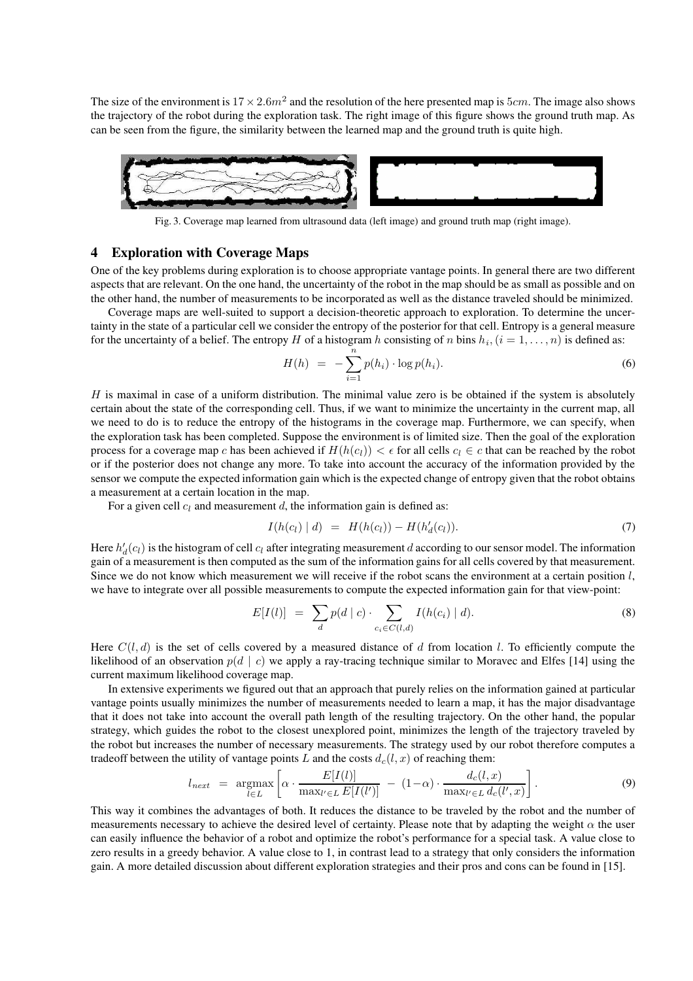The size of the environment is  $17 \times 2.6m^2$  and the resolution of the here presented map is  $5cm$ . The image also shows the trajectory of the robot during the exploration task. The right image of this figure shows the ground truth map. As can be seen from the figure, the similarity between the learned map and the ground truth is quite high.



Fig. 3. Coverage map learned from ultrasound data (left image) and ground truth map (right image).

#### **4 Exploration with Coverage Maps**

One of the key problems during exploration is to choose appropriate vantage points. In general there are two different aspects that are relevant. On the one hand, the uncertainty of the robot in the map should be as small as possible and on the other hand, the number of measurements to be incorporated as well as the distance traveled should be minimized.

Coverage maps are well-suited to support a decision-theoretic approach to exploration. To determine the uncertainty in the state of a particular cell we consider the entropy of the posterior for that cell. Entropy is a general measure for the uncertainty of a belief. The entropy H of a histogram h consisting of n bins  $h_i$ ,  $(i = 1, ..., n)$  is defined as:

$$
H(h) = -\sum_{i=1}^{n} p(h_i) \cdot \log p(h_i).
$$
 (6)

 $H$  is maximal in case of a uniform distribution. The minimal value zero is be obtained if the system is absolutely certain about the state of the corresponding cell. Thus, if we want to minimize the uncertainty in the current map, all we need to do is to reduce the entropy of the histograms in the coverage map. Furthermore, we can specify, when the exploration task has been completed. Suppose the environment is of limited size. Then the goal of the exploration process for a coverage map c has been achieved if  $H(h(c_l)) < \epsilon$  for all cells  $c_l \in c$  that can be reached by the robot or if the posterior does not change any more. To take into account the accuracy of the information provided by the sensor we compute the expected information gain which is the expected change of entropy given that the robot obtains a measurement at a certain location in the map.

For a given cell  $c_l$  and measurement d, the information gain is defined as:

$$
I(h(c_l) | d) = H(h(c_l)) - H(h'_d(c_l)). \tag{7}
$$

Here  $h'_d(c_l)$  is the histogram of cell  $c_l$  after integrating measurement  $d$  according to our sensor model. The information gain of a measurement is then computed as the sum of the information gains for all cells covered by that measurement. Since we do not know which measurement we will receive if the robot scans the environment at a certain position  $l$ , we have to integrate over all possible measurements to compute the expected information gain for that view-point:

$$
E[I(l)] = \sum_{d} p(d \mid c) \cdot \sum_{c_i \in C(l,d)} I(h(c_i) \mid d). \tag{8}
$$

Here  $C(l, d)$  is the set of cells covered by a measured distance of d from location l. To efficiently compute the likelihood of an observation  $p(d | c)$  we apply a ray-tracing technique similar to Moravec and Elfes [14] using the current maximum likelihood coverage map.

In extensive experiments we figured out that an approach that purely relies on the information gained at particular vantage points usually minimizes the number of measurements needed to learn a map, it has the major disadvantage that it does not take into account the overall path length of the resulting trajectory. On the other hand, the popular strategy, which guides the robot to the closest unexplored point, minimizes the length of the trajectory traveled by the robot but increases the number of necessary measurements. The strategy used by our robot therefore computes a tradeoff between the utility of vantage points L and the costs  $d_c(l, x)$  of reaching them:

$$
l_{next} = \underset{l \in L}{\operatorname{argmax}} \left[ \alpha \cdot \frac{E[I(l)]}{\max_{l' \in L} E[I(l')]}\right] - (1-\alpha) \cdot \frac{d_c(l,x)}{\max_{l' \in L} d_c(l',x)}\right].
$$
\n(9)

This way it combines the advantages of both. It reduces the distance to be traveled by the robot and the number of measurements necessary to achieve the desired level of certainty. Please note that by adapting the weight  $\alpha$  the user can easily influence the behavior of a robot and optimize the robot's performance for a special task. A value close to zero results in a greedy behavior. A value close to 1, in contrast lead to a strategy that only considers the information gain. A more detailed discussion about different exploration strategies and their pros and cons can be found in [15].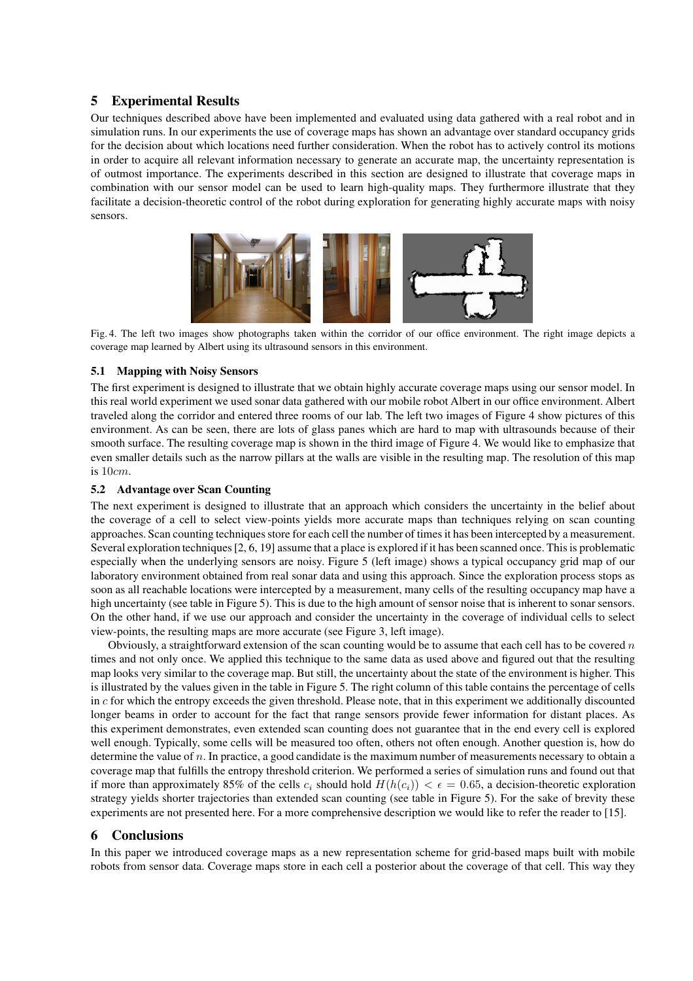# **5 Experimental Results**

Our techniques described above have been implemented and evaluated using data gathered with a real robot and in simulation runs. In our experiments the use of coverage maps has shown an advantage over standard occupancy grids for the decision about which locations need further consideration. When the robot has to actively control its motions in order to acquire all relevant information necessary to generate an accurate map, the uncertainty representation is of outmost importance. The experiments described in this section are designed to illustrate that coverage maps in combination with our sensor model can be used to learn high-quality maps. They furthermore illustrate that they facilitate a decision-theoretic control of the robot during exploration for generating highly accurate maps with noisy sensors.



Fig. 4. The left two images show photographs taken within the corridor of our office environment. The right image depicts a coverage map learned by Albert using its ultrasound sensors in this environment.

#### **5.1 Mapping with Noisy Sensors**

The first experiment is designed to illustrate that we obtain highly accurate coverage maps using our sensor model. In this real world experiment we used sonar data gathered with our mobile robot Albert in our office environment. Albert traveled along the corridor and entered three rooms of our lab. The left two images of Figure 4 show pictures of this environment. As can be seen, there are lots of glass panes which are hard to map with ultrasounds because of their smooth surface. The resulting coverage map is shown in the third image of Figure 4. We would like to emphasize that even smaller details such as the narrow pillars at the walls are visible in the resulting map. The resolution of this map is 10cm.

#### **5.2 Advantage over Scan Counting**

The next experiment is designed to illustrate that an approach which considers the uncertainty in the belief about the coverage of a cell to select view-points yields more accurate maps than techniques relying on scan counting approaches. Scan counting techniques store for each cell the number of times it has been intercepted by a measurement. Several exploration techniques[2, 6, 19] assume that a place is explored if it has been scanned once. Thisis problematic especially when the underlying sensors are noisy. Figure 5 (left image) shows a typical occupancy grid map of our laboratory environment obtained from real sonar data and using this approach. Since the exploration process stops as soon as all reachable locations were intercepted by a measurement, many cells of the resulting occupancy map have a high uncertainty (see table in Figure 5). This is due to the high amount of sensor noise that is inherent to sonar sensors. On the other hand, if we use our approach and consider the uncertainty in the coverage of individual cells to select view-points, the resulting maps are more accurate (see Figure 3, left image).

Obviously, a straightforward extension of the scan counting would be to assume that each cell has to be covered  $n$ times and not only once. We applied this technique to the same data as used above and figured out that the resulting map looks very similar to the coverage map. But still, the uncertainty about the state of the environment is higher. This is illustrated by the values given in the table in Figure 5. The right column of this table contains the percentage of cells in  $c$  for which the entropy exceeds the given threshold. Please note, that in this experiment we additionally discounted longer beams in order to account for the fact that range sensors provide fewer information for distant places. As this experiment demonstrates, even extended scan counting does not guarantee that in the end every cell is explored well enough. Typically, some cells will be measured too often, others not often enough. Another question is, how do determine the value of n. In practice, a good candidate is the maximum number of measurements necessary to obtain a coverage map that fulfills the entropy threshold criterion. We performed a series of simulation runs and found out that if more than approximately 85% of the cells  $c_i$  should hold  $H(h(c_i)) < \epsilon = 0.65$ , a decision-theoretic exploration strategy yields shorter trajectories than extended scan counting (see table in Figure 5). For the sake of brevity these experiments are not presented here. For a more comprehensive description we would like to refer the reader to [15].

### **6 Conclusions**

In this paper we introduced coverage maps as a new representation scheme for grid-based maps built with mobile robots from sensor data. Coverage maps store in each cell a posterior about the coverage of that cell. This way they